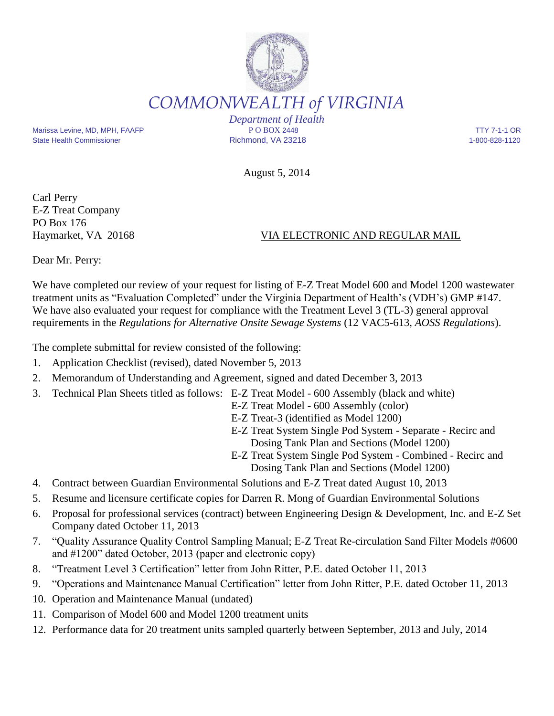## *COMMONWEALTH of VIRGINIA Department of Health* Marissa Levine, MD, MPH, FAAFP **P O BOX 2448** P O BOX 2448 TTY 7-1-1 OR

State Health Commissioner **Richmond, VA 23218** 1-800-828-1120

August 5, 2014

Carl Perry E-Z Treat Company PO Box 176

## Haymarket, VA 20168 VIA ELECTRONIC AND REGULAR MAIL

Dear Mr. Perry:

We have completed our review of your request for listing of E-Z Treat Model 600 and Model 1200 wastewater treatment units as "Evaluation Completed" under the Virginia Department of Health's (VDH's) GMP #147. We have also evaluated your request for compliance with the Treatment Level 3 (TL-3) general approval requirements in the *Regulations for Alternative Onsite Sewage Systems* (12 VAC5-613, *AOSS Regulations*).

The complete submittal for review consisted of the following:

- 1. Application Checklist (revised), dated November 5, 2013
- 2. Memorandum of Understanding and Agreement, signed and dated December 3, 2013
- 3. Technical Plan Sheets titled as follows: E-Z Treat Model 600 Assembly (black and white)
	- E-Z Treat Model 600 Assembly (color)
	- E-Z Treat-3 (identified as Model 1200)
	- E-Z Treat System Single Pod System Separate Recirc and Dosing Tank Plan and Sections (Model 1200)
	- E-Z Treat System Single Pod System Combined Recirc and Dosing Tank Plan and Sections (Model 1200)
- 4. Contract between Guardian Environmental Solutions and E-Z Treat dated August 10, 2013
- 5. Resume and licensure certificate copies for Darren R. Mong of Guardian Environmental Solutions
- 6. Proposal for professional services (contract) between Engineering Design & Development, Inc. and E-Z Set Company dated October 11, 2013
- 7. "Quality Assurance Quality Control Sampling Manual; E-Z Treat Re-circulation Sand Filter Models #0600 and #1200" dated October, 2013 (paper and electronic copy)
- 8. "Treatment Level 3 Certification" letter from John Ritter, P.E. dated October 11, 2013
- 9. "Operations and Maintenance Manual Certification" letter from John Ritter, P.E. dated October 11, 2013
- 10. Operation and Maintenance Manual (undated)
- 11. Comparison of Model 600 and Model 1200 treatment units
- 12. Performance data for 20 treatment units sampled quarterly between September, 2013 and July, 2014